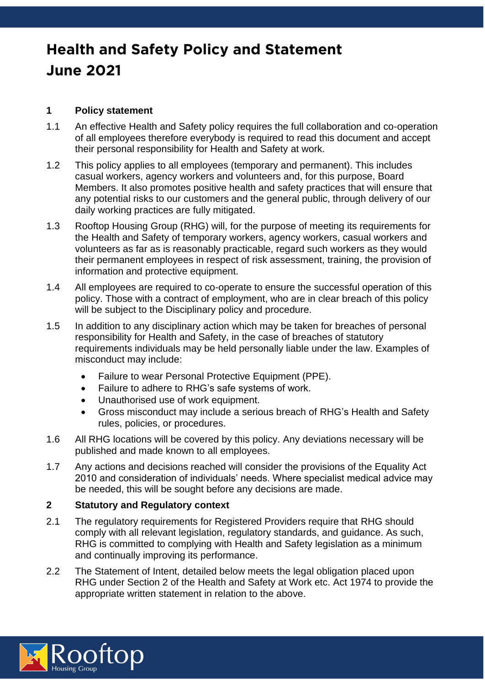# **Health and Safety Policy and Statement June 2021**

#### **1 Policy statement**

- 1.1 An effective Health and Safety policy requires the full collaboration and co-operation of all employees therefore everybody is required to read this document and accept their personal responsibility for Health and Safety at work.
- 1.2 This policy applies to all employees (temporary and permanent). This includes casual workers, agency workers and volunteers and, for this purpose, Board Members. It also promotes positive health and safety practices that will ensure that any potential risks to our customers and the general public, through delivery of our daily working practices are fully mitigated.
- 1.3 Rooftop Housing Group (RHG) will, for the purpose of meeting its requirements for the Health and Safety of temporary workers, agency workers, casual workers and volunteers as far as is reasonably practicable, regard such workers as they would their permanent employees in respect of risk assessment, training, the provision of information and protective equipment.
- 1.4 All employees are required to co-operate to ensure the successful operation of this policy. Those with a contract of employment, who are in clear breach of this policy will be subject to the Disciplinary policy and procedure.
- 1.5 In addition to any disciplinary action which may be taken for breaches of personal responsibility for Health and Safety, in the case of breaches of statutory requirements individuals may be held personally liable under the law. Examples of misconduct may include:
	- Failure to wear Personal Protective Equipment (PPE).
	- Failure to adhere to RHG's safe systems of work.
	- Unauthorised use of work equipment.
	- Gross misconduct may include a serious breach of RHG's Health and Safety rules, policies, or procedures.
- 1.6 All RHG locations will be covered by this policy. Any deviations necessary will be published and made known to all employees.
- 1.7 Any actions and decisions reached will consider the provisions of the Equality Act 2010 and consideration of individuals' needs. Where specialist medical advice may be needed, this will be sought before any decisions are made.

#### **2 Statutory and Regulatory context**

- 2.1 The regulatory requirements for Registered Providers require that RHG should comply with all relevant legislation, regulatory standards, and guidance. As such, RHG is committed to complying with Health and Safety legislation as a minimum and continually improving its performance.
- 2.2 The Statement of Intent, detailed below meets the legal obligation placed upon RHG under Section 2 of the Health and Safety at Work etc. Act 1974 to provide the appropriate written statement in relation to the above.

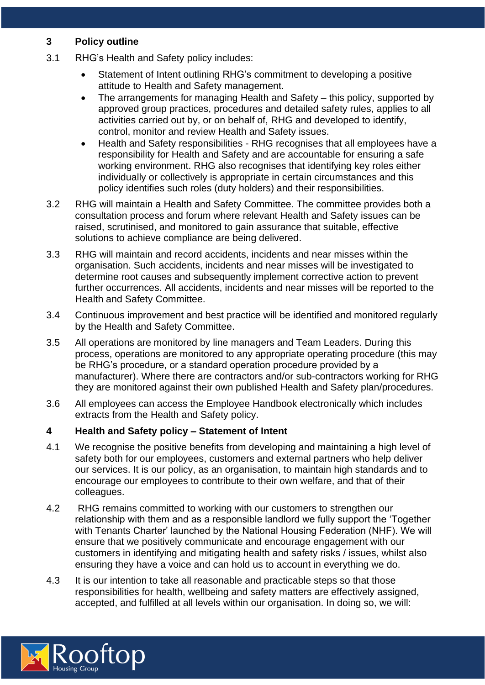#### **3 Policy outline**

- 3.1 RHG's Health and Safety policy includes:
	- Statement of Intent outlining RHG's commitment to developing a positive attitude to Health and Safety management.
	- The arrangements for managing Health and Safety this policy, supported by approved group practices, procedures and detailed safety rules, applies to all activities carried out by, or on behalf of, RHG and developed to identify, control, monitor and review Health and Safety issues.
	- Health and Safety responsibilities RHG recognises that all employees have a responsibility for Health and Safety and are accountable for ensuring a safe working environment. RHG also recognises that identifying key roles either individually or collectively is appropriate in certain circumstances and this policy identifies such roles (duty holders) and their responsibilities.
- 3.2 RHG will maintain a Health and Safety Committee. The committee provides both a consultation process and forum where relevant Health and Safety issues can be raised, scrutinised, and monitored to gain assurance that suitable, effective solutions to achieve compliance are being delivered.
- 3.3 RHG will maintain and record accidents, incidents and near misses within the organisation. Such accidents, incidents and near misses will be investigated to determine root causes and subsequently implement corrective action to prevent further occurrences. All accidents, incidents and near misses will be reported to the Health and Safety Committee.
- 3.4 Continuous improvement and best practice will be identified and monitored regularly by the Health and Safety Committee.
- 3.5 All operations are monitored by line managers and Team Leaders. During this process, operations are monitored to any appropriate operating procedure (this may be RHG's procedure, or a standard operation procedure provided by a manufacturer). Where there are contractors and/or sub-contractors working for RHG they are monitored against their own published Health and Safety plan/procedures.
- 3.6 All employees can access the Employee Handbook electronically which includes extracts from the Health and Safety policy.

#### **4 Health and Safety policy – Statement of Intent**

- 4.1 We recognise the positive benefits from developing and maintaining a high level of safety both for our employees, customers and external partners who help deliver our services. It is our policy, as an organisation, to maintain high standards and to encourage our employees to contribute to their own welfare, and that of their colleagues.
- 4.2 RHG remains committed to working with our customers to strengthen our relationship with them and as a responsible landlord we fully support the 'Together with Tenants Charter' launched by the National Housing Federation (NHF). We will ensure that we positively communicate and encourage engagement with our customers in identifying and mitigating health and safety risks / issues, whilst also ensuring they have a voice and can hold us to account in everything we do.
- 4.3 It is our intention to take all reasonable and practicable steps so that those responsibilities for health, wellbeing and safety matters are effectively assigned, accepted, and fulfilled at all levels within our organisation. In doing so, we will:

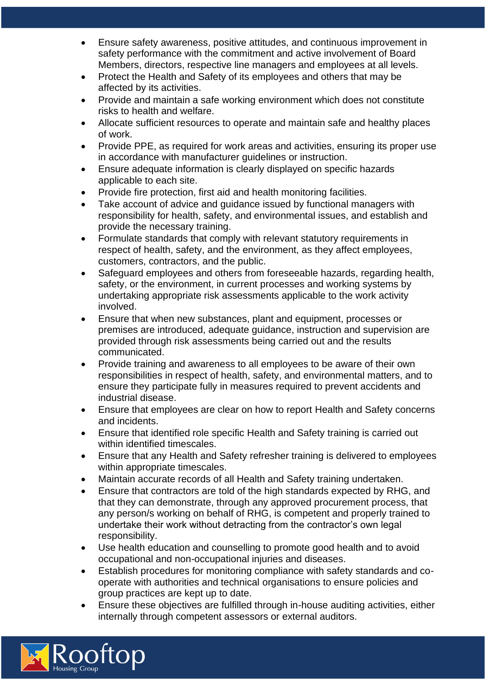- Ensure safety awareness, positive attitudes, and continuous improvement in safety performance with the commitment and active involvement of Board Members, directors, respective line managers and employees at all levels.
- Protect the Health and Safety of its employees and others that may be affected by its activities.
- Provide and maintain a safe working environment which does not constitute risks to health and welfare.
- Allocate sufficient resources to operate and maintain safe and healthy places of work.
- Provide PPE, as required for work areas and activities, ensuring its proper use in accordance with manufacturer guidelines or instruction.
- Ensure adequate information is clearly displayed on specific hazards applicable to each site.
- Provide fire protection, first aid and health monitoring facilities.
- Take account of advice and guidance issued by functional managers with responsibility for health, safety, and environmental issues, and establish and provide the necessary training.
- Formulate standards that comply with relevant statutory requirements in respect of health, safety, and the environment, as they affect employees, customers, contractors, and the public.
- Safeguard employees and others from foreseeable hazards, regarding health, safety, or the environment, in current processes and working systems by undertaking appropriate risk assessments applicable to the work activity involved.
- Ensure that when new substances, plant and equipment, processes or premises are introduced, adequate guidance, instruction and supervision are provided through risk assessments being carried out and the results communicated.
- Provide training and awareness to all employees to be aware of their own responsibilities in respect of health, safety, and environmental matters, and to ensure they participate fully in measures required to prevent accidents and industrial disease.
- Ensure that employees are clear on how to report Health and Safety concerns and incidents.
- Ensure that identified role specific Health and Safety training is carried out within identified timescales.
- Ensure that any Health and Safety refresher training is delivered to employees within appropriate timescales.
- Maintain accurate records of all Health and Safety training undertaken.
- Ensure that contractors are told of the high standards expected by RHG, and that they can demonstrate, through any approved procurement process, that any person/s working on behalf of RHG, is competent and properly trained to undertake their work without detracting from the contractor's own legal responsibility.
- Use health education and counselling to promote good health and to avoid occupational and non-occupational injuries and diseases.
- Establish procedures for monitoring compliance with safety standards and cooperate with authorities and technical organisations to ensure policies and group practices are kept up to date.
- Ensure these objectives are fulfilled through in-house auditing activities, either internally through competent assessors or external auditors.

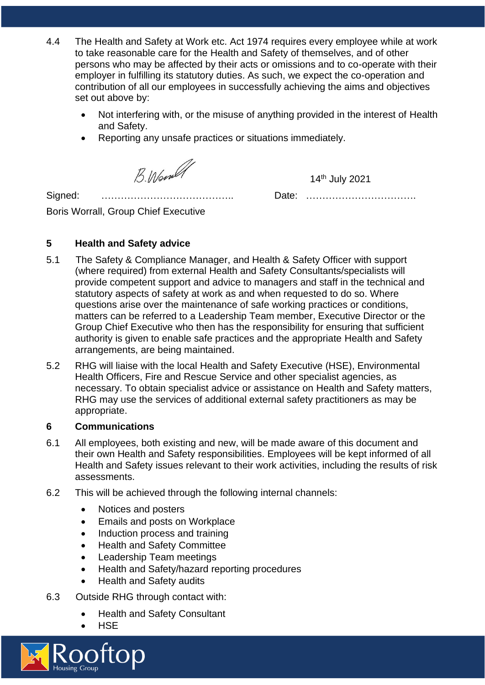- 4.4 The Health and Safety at Work etc. Act 1974 requires every employee while at work to take reasonable care for the Health and Safety of themselves, and of other persons who may be affected by their acts or omissions and to co-operate with their employer in fulfilling its statutory duties. As such, we expect the co-operation and contribution of all our employees in successfully achieving the aims and objectives set out above by:
	- Not interfering with, or the misuse of anything provided in the interest of Health and Safety.
	- Reporting any unsafe practices or situations immediately.

B. Word

14th July 2021

Signed: ………………………………….. Date: …………………………….

Boris Worrall, Group Chief Executive

### **5 Health and Safety advice**

- 5.1 The Safety & Compliance Manager, and Health & Safety Officer with support (where required) from external Health and Safety Consultants/specialists will provide competent support and advice to managers and staff in the technical and statutory aspects of safety at work as and when requested to do so. Where questions arise over the maintenance of safe working practices or conditions, matters can be referred to a Leadership Team member, Executive Director or the Group Chief Executive who then has the responsibility for ensuring that sufficient authority is given to enable safe practices and the appropriate Health and Safety arrangements, are being maintained.
- 5.2 RHG will liaise with the local Health and Safety Executive (HSE), Environmental Health Officers, Fire and Rescue Service and other specialist agencies, as necessary. To obtain specialist advice or assistance on Health and Safety matters, RHG may use the services of additional external safety practitioners as may be appropriate.

#### **6 Communications**

- 6.1 All employees, both existing and new, will be made aware of this document and their own Health and Safety responsibilities. Employees will be kept informed of all Health and Safety issues relevant to their work activities, including the results of risk assessments.
- 6.2 This will be achieved through the following internal channels:
	- Notices and posters
	- Emails and posts on Workplace
	- Induction process and training
	- Health and Safety Committee
	- Leadership Team meetings
	- Health and Safety/hazard reporting procedures
	- Health and Safety audits
- 6.3 Outside RHG through contact with:
	- Health and Safety Consultant
		- **HSE**

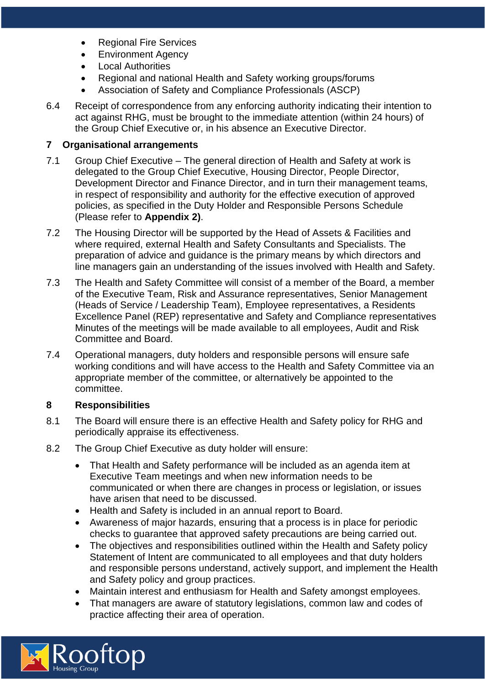- Regional Fire Services
- Environment Agency
- Local Authorities
- Regional and national Health and Safety working groups/forums
- Association of Safety and Compliance Professionals (ASCP)
- 6.4 Receipt of correspondence from any enforcing authority indicating their intention to act against RHG, must be brought to the immediate attention (within 24 hours) of the Group Chief Executive or, in his absence an Executive Director.

#### **7 Organisational arrangements**

- 7.1 Group Chief Executive The general direction of Health and Safety at work is delegated to the Group Chief Executive, Housing Director, People Director, Development Director and Finance Director, and in turn their management teams, in respect of responsibility and authority for the effective execution of approved policies, as specified in the Duty Holder and Responsible Persons Schedule (Please refer to **Appendix 2)**.
- 7.2 The Housing Director will be supported by the Head of Assets & Facilities and where required, external Health and Safety Consultants and Specialists. The preparation of advice and guidance is the primary means by which directors and line managers gain an understanding of the issues involved with Health and Safety.
- 7.3 The Health and Safety Committee will consist of a member of the Board, a member of the Executive Team, Risk and Assurance representatives, Senior Management (Heads of Service / Leadership Team), Employee representatives, a Residents Excellence Panel (REP) representative and Safety and Compliance representatives Minutes of the meetings will be made available to all employees, Audit and Risk Committee and Board.
- 7.4 Operational managers, duty holders and responsible persons will ensure safe working conditions and will have access to the Health and Safety Committee via an appropriate member of the committee, or alternatively be appointed to the committee.

#### **8 Responsibilities**

- 8.1 The Board will ensure there is an effective Health and Safety policy for RHG and periodically appraise its effectiveness.
- 8.2 The Group Chief Executive as duty holder will ensure:
	- That Health and Safety performance will be included as an agenda item at Executive Team meetings and when new information needs to be communicated or when there are changes in process or legislation, or issues have arisen that need to be discussed.
	- Health and Safety is included in an annual report to Board.
	- Awareness of major hazards, ensuring that a process is in place for periodic checks to guarantee that approved safety precautions are being carried out.
	- The objectives and responsibilities outlined within the Health and Safety policy Statement of Intent are communicated to all employees and that duty holders and responsible persons understand, actively support, and implement the Health and Safety policy and group practices.
	- Maintain interest and enthusiasm for Health and Safety amongst employees.
	- That managers are aware of statutory legislations, common law and codes of practice affecting their area of operation.

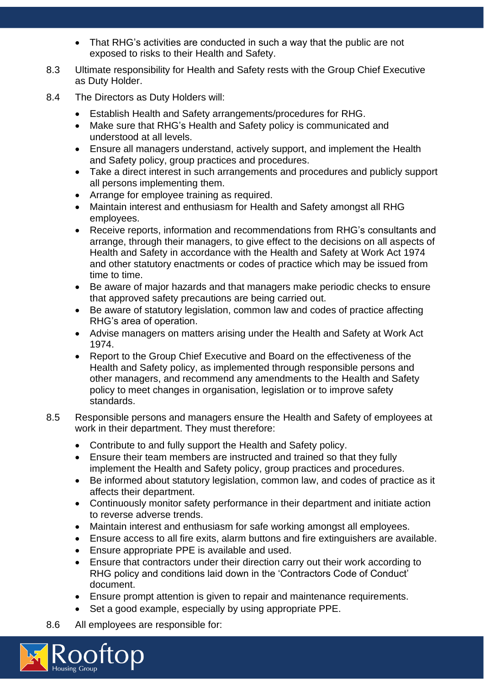- That RHG's activities are conducted in such a way that the public are not exposed to risks to their Health and Safety.
- 8.3 Ultimate responsibility for Health and Safety rests with the Group Chief Executive as Duty Holder.
- 8.4 The Directors as Duty Holders will:
	- Establish Health and Safety arrangements/procedures for RHG.
	- Make sure that RHG's Health and Safety policy is communicated and understood at all levels.
	- Ensure all managers understand, actively support, and implement the Health and Safety policy, group practices and procedures.
	- Take a direct interest in such arrangements and procedures and publicly support all persons implementing them.
	- Arrange for employee training as required.
	- Maintain interest and enthusiasm for Health and Safety amongst all RHG employees.
	- Receive reports, information and recommendations from RHG's consultants and arrange, through their managers, to give effect to the decisions on all aspects of Health and Safety in accordance with the Health and Safety at Work Act 1974 and other statutory enactments or codes of practice which may be issued from time to time.
	- Be aware of major hazards and that managers make periodic checks to ensure that approved safety precautions are being carried out.
	- Be aware of statutory legislation, common law and codes of practice affecting RHG's area of operation.
	- Advise managers on matters arising under the Health and Safety at Work Act 1974.
	- Report to the Group Chief Executive and Board on the effectiveness of the Health and Safety policy, as implemented through responsible persons and other managers, and recommend any amendments to the Health and Safety policy to meet changes in organisation, legislation or to improve safety standards.
- 8.5 Responsible persons and managers ensure the Health and Safety of employees at work in their department. They must therefore:
	- Contribute to and fully support the Health and Safety policy.
	- Ensure their team members are instructed and trained so that they fully implement the Health and Safety policy, group practices and procedures.
	- Be informed about statutory legislation, common law, and codes of practice as it affects their department.
	- Continuously monitor safety performance in their department and initiate action to reverse adverse trends.
	- Maintain interest and enthusiasm for safe working amongst all employees.
	- Ensure access to all fire exits, alarm buttons and fire extinguishers are available.
	- Ensure appropriate PPE is available and used.
	- Ensure that contractors under their direction carry out their work according to RHG policy and conditions laid down in the 'Contractors Code of Conduct' document.
	- Ensure prompt attention is given to repair and maintenance requirements.
	- Set a good example, especially by using appropriate PPE.
- 8.6 All employees are responsible for:

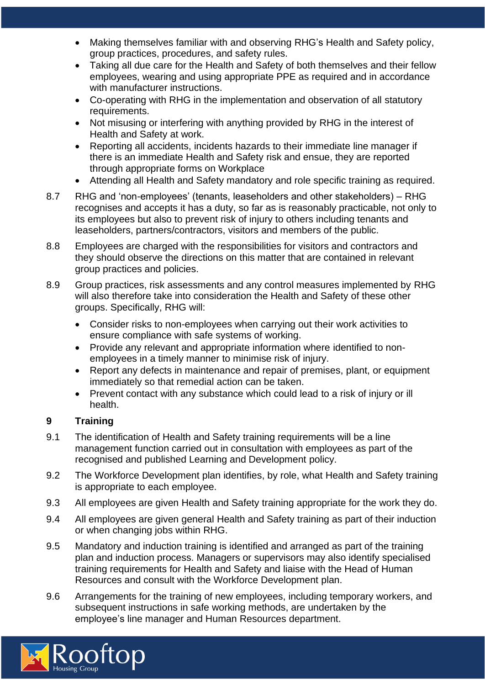- Making themselves familiar with and observing RHG's Health and Safety policy, group practices, procedures, and safety rules.
- Taking all due care for the Health and Safety of both themselves and their fellow employees, wearing and using appropriate PPE as required and in accordance with manufacturer instructions.
- Co-operating with RHG in the implementation and observation of all statutory requirements.
- Not misusing or interfering with anything provided by RHG in the interest of Health and Safety at work.
- Reporting all accidents, incidents hazards to their immediate line manager if there is an immediate Health and Safety risk and ensue, they are reported through appropriate forms on Workplace
- Attending all Health and Safety mandatory and role specific training as required.
- 8.7 RHG and 'non-employees' (tenants, leaseholders and other stakeholders) RHG recognises and accepts it has a duty, so far as is reasonably practicable, not only to its employees but also to prevent risk of injury to others including tenants and leaseholders, partners/contractors, visitors and members of the public.
- 8.8 Employees are charged with the responsibilities for visitors and contractors and they should observe the directions on this matter that are contained in relevant group practices and policies.
- 8.9 Group practices, risk assessments and any control measures implemented by RHG will also therefore take into consideration the Health and Safety of these other groups. Specifically, RHG will:
	- Consider risks to non-employees when carrying out their work activities to ensure compliance with safe systems of working.
	- Provide any relevant and appropriate information where identified to nonemployees in a timely manner to minimise risk of injury.
	- Report any defects in maintenance and repair of premises, plant, or equipment immediately so that remedial action can be taken.
	- Prevent contact with any substance which could lead to a risk of injury or ill health.

#### **9 Training**

- 9.1 The identification of Health and Safety training requirements will be a line management function carried out in consultation with employees as part of the recognised and published Learning and Development policy.
- 9.2 The Workforce Development plan identifies, by role, what Health and Safety training is appropriate to each employee.
- 9.3 All employees are given Health and Safety training appropriate for the work they do.
- 9.4 All employees are given general Health and Safety training as part of their induction or when changing jobs within RHG.
- 9.5 Mandatory and induction training is identified and arranged as part of the training plan and induction process. Managers or supervisors may also identify specialised training requirements for Health and Safety and liaise with the Head of Human Resources and consult with the Workforce Development plan.
- 9.6 Arrangements for the training of new employees, including temporary workers, and subsequent instructions in safe working methods, are undertaken by the employee's line manager and Human Resources department.

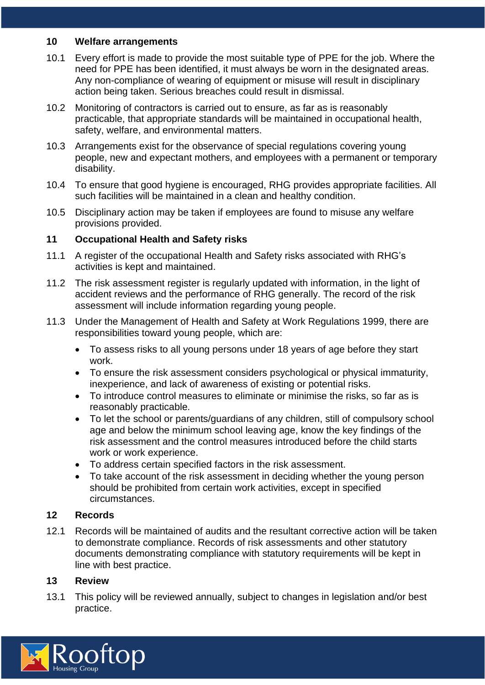#### **10 Welfare arrangements**

- 10.1 Every effort is made to provide the most suitable type of PPE for the job. Where the need for PPE has been identified, it must always be worn in the designated areas. Any non-compliance of wearing of equipment or misuse will result in disciplinary action being taken. Serious breaches could result in dismissal.
- 10.2 Monitoring of contractors is carried out to ensure, as far as is reasonably practicable, that appropriate standards will be maintained in occupational health, safety, welfare, and environmental matters.
- 10.3 Arrangements exist for the observance of special regulations covering young people, new and expectant mothers, and employees with a permanent or temporary disability.
- 10.4 To ensure that good hygiene is encouraged, RHG provides appropriate facilities. All such facilities will be maintained in a clean and healthy condition.
- 10.5 Disciplinary action may be taken if employees are found to misuse any welfare provisions provided.

#### **11 Occupational Health and Safety risks**

- 11.1 A register of the occupational Health and Safety risks associated with RHG's activities is kept and maintained.
- 11.2 The risk assessment register is regularly updated with information, in the light of accident reviews and the performance of RHG generally. The record of the risk assessment will include information regarding young people.
- 11.3 Under the Management of Health and Safety at Work Regulations 1999, there are responsibilities toward young people, which are:
	- To assess risks to all young persons under 18 years of age before they start work.
	- To ensure the risk assessment considers psychological or physical immaturity, inexperience, and lack of awareness of existing or potential risks.
	- To introduce control measures to eliminate or minimise the risks, so far as is reasonably practicable.
	- To let the school or parents/guardians of any children, still of compulsory school age and below the minimum school leaving age, know the key findings of the risk assessment and the control measures introduced before the child starts work or work experience.
	- To address certain specified factors in the risk assessment.
	- To take account of the risk assessment in deciding whether the young person should be prohibited from certain work activities, except in specified circumstances.

#### **12 Records**

12.1 Records will be maintained of audits and the resultant corrective action will be taken to demonstrate compliance. Records of risk assessments and other statutory documents demonstrating compliance with statutory requirements will be kept in line with best practice.

#### **13 Review**

13.1 This policy will be reviewed annually, subject to changes in legislation and/or best practice.

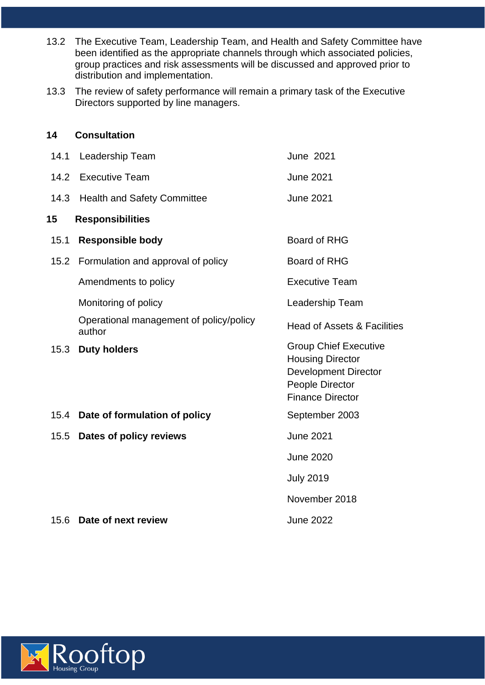- 13.2 The Executive Team, Leadership Team, and Health and Safety Committee have been identified as the appropriate channels through which associated policies, group practices and risk assessments will be discussed and approved prior to distribution and implementation.
- 13.3 The review of safety performance will remain a primary task of the Executive Directors supported by line managers.

# **14 Consultation** 14.1 Leadership Team June 2021 14.2 Executive Team **June 2021** 14.3 Health and Safety Committee June 2021 **15 Responsibilities**  15.1 **Responsible body** Board of RHG 15.2 Formulation and approval of policy Board of RHG Amendments to policy **Executive Team** Monitoring of policy **Leadership Team** Operational management of policy/policy Operational management of policy/policy<br>author<br>author 15.3 **Duty holders** Group Chief Executive Housing Director Development Director People Director Finance Director 15.4 **Date of formulation of policy** September 2003 15.5 **Dates of policy reviews** June 2021 June 2020 July 2019 November 2018 15.6 **Date of next review** June 2022

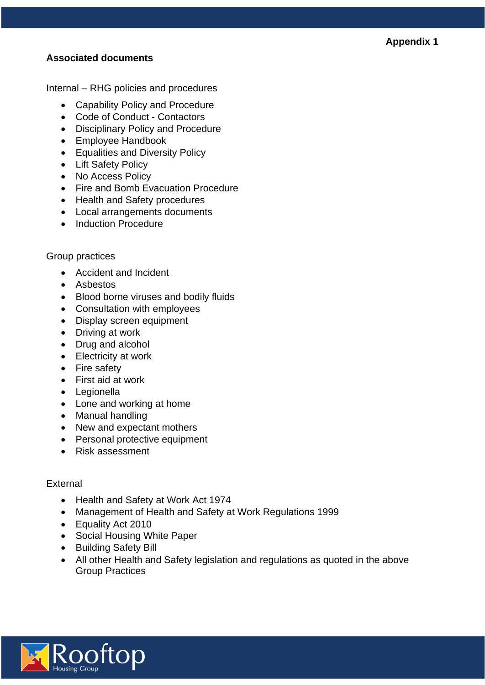#### **Appendix 1**

#### **Associated documents**

Internal – RHG policies and procedures

- Capability Policy and Procedure
- Code of Conduct Contactors
- Disciplinary Policy and Procedure
- Employee Handbook
- Equalities and Diversity Policy
- Lift Safety Policy
- No Access Policy
- Fire and Bomb Evacuation Procedure
- Health and Safety procedures
- Local arrangements documents
- Induction Procedure

#### Group practices

- Accident and Incident
- Asbestos
- Blood borne viruses and bodily fluids
- Consultation with employees
- Display screen equipment
- Driving at work
- Drug and alcohol
- Electricity at work
- Fire safety
- First aid at work
- Legionella
- Lone and working at home
- Manual handling
- New and expectant mothers
- Personal protective equipment
- Risk assessment

#### **External**

- Health and Safety at Work Act 1974
- Management of Health and Safety at Work Regulations 1999
- Equality Act 2010
- Social Housing White Paper
- Building Safety Bill
- All other Health and Safety legislation and regulations as quoted in the above Group Practices

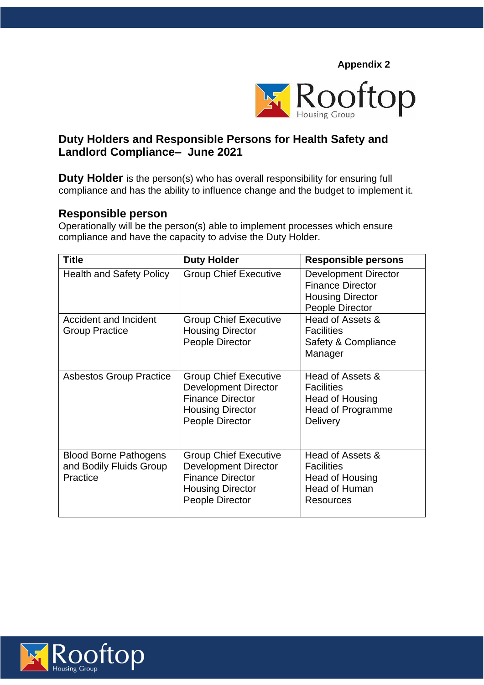**Appendix 2**



## **Duty Holders and Responsible Persons for Health Safety and Landlord Compliance– June 2021**

**Duty Holder** is the person(s) who has overall responsibility for ensuring full compliance and has the ability to influence change and the budget to implement it.

#### **Responsible person**

Operationally will be the person(s) able to implement processes which ensure compliance and have the capacity to advise the Duty Holder.

| <b>Title</b>                                                        | <b>Duty Holder</b>                                                                                                                          | <b>Responsible persons</b>                                                                                  |
|---------------------------------------------------------------------|---------------------------------------------------------------------------------------------------------------------------------------------|-------------------------------------------------------------------------------------------------------------|
| <b>Health and Safety Policy</b>                                     | <b>Group Chief Executive</b>                                                                                                                | <b>Development Director</b><br><b>Finance Director</b><br><b>Housing Director</b><br><b>People Director</b> |
| <b>Accident and Incident</b><br><b>Group Practice</b>               | <b>Group Chief Executive</b><br><b>Housing Director</b><br><b>People Director</b>                                                           | Head of Assets &<br><b>Facilities</b><br>Safety & Compliance<br>Manager                                     |
| <b>Asbestos Group Practice</b>                                      | <b>Group Chief Executive</b><br><b>Development Director</b><br><b>Finance Director</b><br><b>Housing Director</b><br>People Director        | Head of Assets &<br><b>Facilities</b><br>Head of Housing<br><b>Head of Programme</b><br><b>Delivery</b>     |
| <b>Blood Borne Pathogens</b><br>and Bodily Fluids Group<br>Practice | <b>Group Chief Executive</b><br><b>Development Director</b><br><b>Finance Director</b><br><b>Housing Director</b><br><b>People Director</b> | Head of Assets &<br><b>Facilities</b><br>Head of Housing<br><b>Head of Human</b><br><b>Resources</b>        |

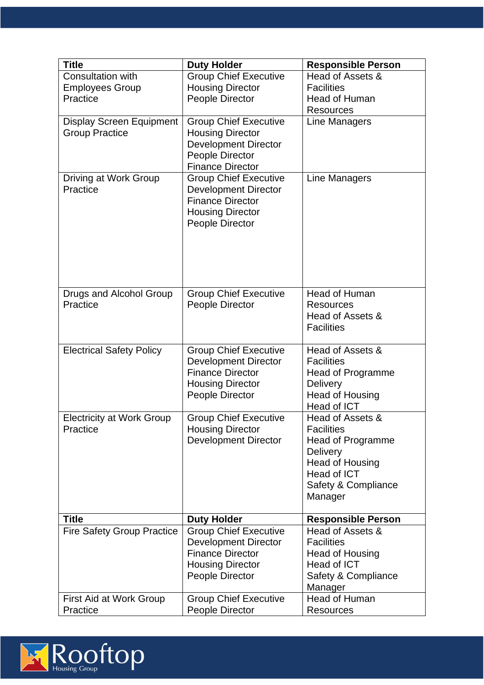| <b>Title</b>                      | <b>Duty Holder</b>           | <b>Responsible Person</b> |
|-----------------------------------|------------------------------|---------------------------|
| Consultation with                 | <b>Group Chief Executive</b> | Head of Assets &          |
| <b>Employees Group</b>            | <b>Housing Director</b>      | <b>Facilities</b>         |
| Practice                          | People Director              | <b>Head of Human</b>      |
|                                   |                              | <b>Resources</b>          |
| <b>Display Screen Equipment</b>   | <b>Group Chief Executive</b> | Line Managers             |
| <b>Group Practice</b>             | <b>Housing Director</b>      |                           |
|                                   | <b>Development Director</b>  |                           |
|                                   | People Director              |                           |
|                                   | <b>Finance Director</b>      |                           |
| Driving at Work Group             | <b>Group Chief Executive</b> | <b>Line Managers</b>      |
| Practice                          | <b>Development Director</b>  |                           |
|                                   | <b>Finance Director</b>      |                           |
|                                   | <b>Housing Director</b>      |                           |
|                                   | People Director              |                           |
|                                   |                              |                           |
|                                   |                              |                           |
|                                   |                              |                           |
|                                   |                              |                           |
|                                   |                              |                           |
| Drugs and Alcohol Group           | <b>Group Chief Executive</b> | <b>Head of Human</b>      |
| Practice                          | People Director              | <b>Resources</b>          |
|                                   |                              | Head of Assets &          |
|                                   |                              | <b>Facilities</b>         |
|                                   |                              |                           |
| <b>Electrical Safety Policy</b>   | <b>Group Chief Executive</b> | Head of Assets &          |
|                                   | <b>Development Director</b>  | <b>Facilities</b>         |
|                                   | <b>Finance Director</b>      | Head of Programme         |
|                                   | <b>Housing Director</b>      | <b>Delivery</b>           |
|                                   | People Director              | <b>Head of Housing</b>    |
|                                   |                              | Head of ICT               |
| <b>Electricity at Work Group</b>  | <b>Group Chief Executive</b> | Head of Assets &          |
| Practice                          | <b>Housing Director</b>      | <b>Facilities</b>         |
|                                   | <b>Development Director</b>  | Head of Programme         |
|                                   |                              | <b>Delivery</b>           |
|                                   |                              | <b>Head of Housing</b>    |
|                                   |                              | Head of ICT               |
|                                   |                              | Safety & Compliance       |
|                                   |                              | Manager                   |
|                                   |                              |                           |
| <b>Title</b>                      | <b>Duty Holder</b>           | <b>Responsible Person</b> |
| <b>Fire Safety Group Practice</b> | <b>Group Chief Executive</b> | Head of Assets &          |
|                                   | <b>Development Director</b>  | <b>Facilities</b>         |
|                                   | <b>Finance Director</b>      | Head of Housing           |
|                                   | <b>Housing Director</b>      | Head of ICT               |
|                                   | People Director              | Safety & Compliance       |
|                                   |                              | Manager                   |
| First Aid at Work Group           | <b>Group Chief Executive</b> | <b>Head of Human</b>      |
| Practice                          | People Director              | <b>Resources</b>          |

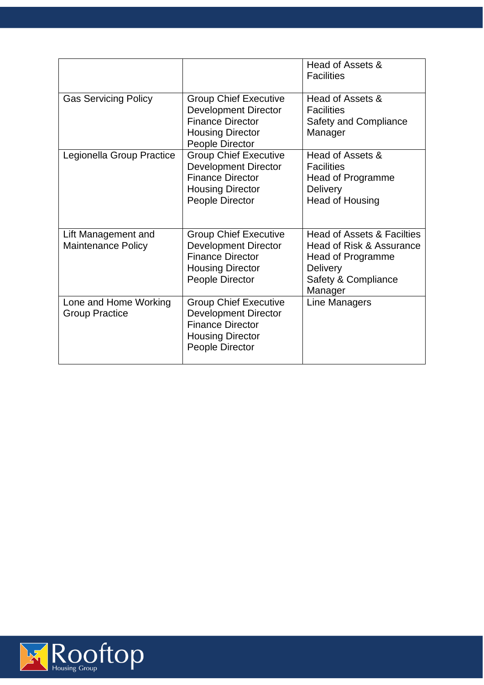|                                                  |                                                                                                                                      | Head of Assets &<br><b>Facilities</b>                                                                                                       |
|--------------------------------------------------|--------------------------------------------------------------------------------------------------------------------------------------|---------------------------------------------------------------------------------------------------------------------------------------------|
| <b>Gas Servicing Policy</b>                      | <b>Group Chief Executive</b><br><b>Development Director</b><br><b>Finance Director</b><br><b>Housing Director</b><br>People Director | Head of Assets &<br><b>Facilities</b><br><b>Safety and Compliance</b><br>Manager                                                            |
| Legionella Group Practice                        | <b>Group Chief Executive</b><br><b>Development Director</b><br><b>Finance Director</b><br><b>Housing Director</b><br>People Director | Head of Assets &<br><b>Facilities</b><br>Head of Programme<br><b>Delivery</b><br><b>Head of Housing</b>                                     |
| Lift Management and<br><b>Maintenance Policy</b> | <b>Group Chief Executive</b><br><b>Development Director</b><br><b>Finance Director</b><br><b>Housing Director</b><br>People Director | <b>Head of Assets &amp; Facilties</b><br>Head of Risk & Assurance<br>Head of Programme<br><b>Delivery</b><br>Safety & Compliance<br>Manager |
| Lone and Home Working<br><b>Group Practice</b>   | <b>Group Chief Executive</b><br><b>Development Director</b><br><b>Finance Director</b><br><b>Housing Director</b><br>People Director | Line Managers                                                                                                                               |